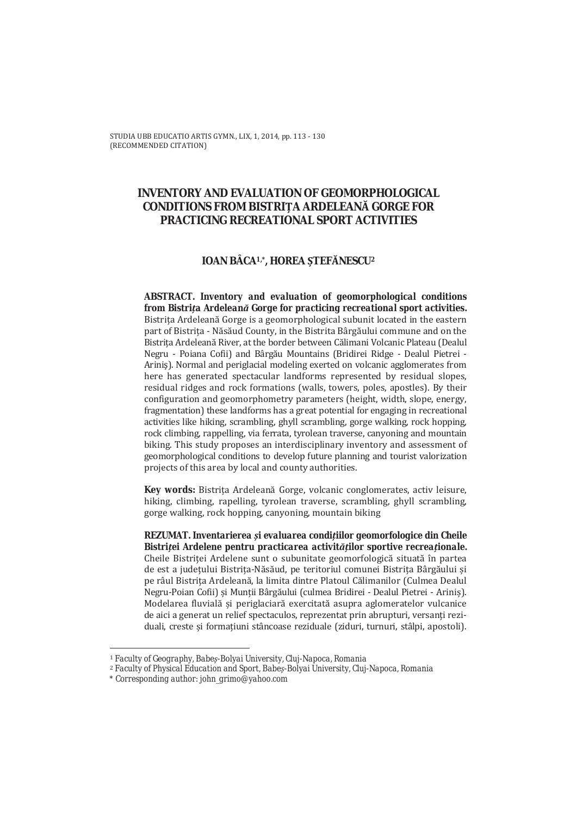STUDIA UBB EDUCATIO ARTIS GYMN., LIX, 1, 2014, pp. 113 - 130 (RECOMMENDED CITATION)

# **INVENTORY AND EVALUATION OF GEOMORPHOLOGICAL CONDITIONS FROM BISTRITA ARDELEANĂ GORGE FOR PRACTICING RECREATIONAL SPORT ACTIVITIES**

### IOAN BÂCA1,\*, HOREA STEFĂNESCU2

ABSTRACT. Inventory and evaluation of geomorphological conditions from Bistrița Ardeleană Gorge for practicing recreational sport activities. Bistrița Ardeleană Gorge is a geomorphological subunit located in the eastern part of Bistrița - Năsăud County, in the Bistrita Bârgăului commune and on the Bistrita Ardeleană River, at the border between Călimani Volcanic Plateau (Dealul Negru - Poiana Cofii) and Bârgău Mountains (Bridirei Ridge - Dealul Pietrei -Arinis). Normal and periglacial modeling exerted on volcanic agglomerates from here has generated spectacular landforms represented by residual slopes, residual ridges and rock formations (walls, towers, poles, apostles). By their configuration and geomorphometry parameters (height, width, slope, energy, fragmentation) these landforms has a great potential for engaging in recreational activities like hiking, scrambling, ghyll scrambling, gorge walking, rock hopping, rock climbing, rappelling, via ferrata, tyrolean traverse, canyoning and mountain biking. This study proposes an interdisciplinary inventory and assessment of geomorphological conditions to develop future planning and tourist valorization projects of this area by local and county authorities.

Key words: Bistrița Ardeleană Gorge, volcanic conglomerates, activ leisure, hiking, climbing, rapelling, tyrolean traverse, scrambling, ghyll scrambling, gorge walking, rock hopping, canyoning, mountain biking

REZUMAT. Inventarierea și evaluarea condițiilor geomorfologice din Cheile Bistritei Ardelene pentru practicarea activitătilor sportive recreationale. Cheile Bistritei Ardelene sunt o subunitate geomorfologică situată în partea de est a județului Bistrița-Năsăud, pe teritoriul comunei Bistrița Bârgăului și pe râul Bistrița Ardeleană, la limita dintre Platoul Călimanilor (Culmea Dealul Negru-Poian Cofii) și Munții Bârgăului (culmea Bridirei - Dealul Pietrei - Ariniș). Modelarea fluvială și periglaciară exercitată asupra aglomeratelor vulcanice de aici a generat un relief spectaculos, reprezentat prin abrupturi, versanti reziduali, creste și formațiuni stâncoase reziduale (ziduri, turnuri, stâlpi, apostoli).

<sup>&</sup>lt;sup>1</sup> Faculty of Geography, Babes-Bolyai University, Cluj-Napoca, Romania

<sup>&</sup>lt;sup>2</sup> Faculty of Physical Education and Sport, Babes-Bolyai University, Cluj-Napoca, Romania

<sup>\*</sup> Corresponding author: john\_grimo@yahoo.com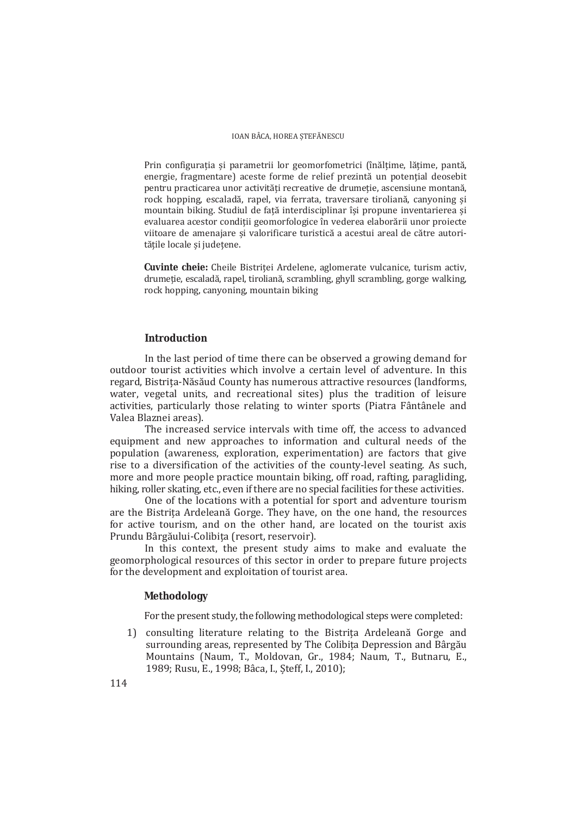Prin configurația și parametrii lor geomorfometrici (înălțime, lățime, pantă, energie, fragmentare) aceste forme de relief prezintă un potential deosebit pentru practicarea unor activități recreative de drumetie, ascensiune montană. rock hopping, escaladă, rapel, via ferrata, traversare tiroliană, canvoning și mountain biking. Studiul de față interdisciplinar își propune inventarierea și evaluarea acestor condiții geomorfologice în vederea elaborării unor proiecte viitoare de amenajare și valorificare turistică a acestui areal de către autoritățile locale și județene.

Cuvinte cheie: Cheile Bistriței Ardelene, aglomerate vulcanice, turism activ, drumeție, escaladă, rapel, tiroliană, scrambling, ghyll scrambling, gorge walking, rock hopping, canyoning, mountain biking

### **Introduction**

In the last period of time there can be observed a growing demand for outdoor tourist activities which involve a certain level of adventure. In this regard, Bistrița-Năsăud County has numerous attractive resources (landforms, water, vegetal units, and recreational sites) plus the tradition of leisure activities, particularly those relating to winter sports (Piatra Fântânele and Valea Blaznei areas).

The increased service intervals with time off, the access to advanced equipment and new approaches to information and cultural needs of the population (awareness, exploration, experimentation) are factors that give rise to a diversification of the activities of the county-level seating. As such, more and more people practice mountain biking, off road, rafting, paragliding, hiking, roller skating, etc., even if there are no special facilities for these activities.

One of the locations with a potential for sport and adventure tourism are the Bistrita Ardeleană Gorge. They have, on the one hand, the resources for active tourism, and on the other hand, are located on the tourist axis Prundu Bârgăului-Colibita (resort, reservoir).

In this context, the present study aims to make and evaluate the geomorphological resources of this sector in order to prepare future projects for the development and exploitation of tourist area.

### **Methodology**

For the present study, the following methodological steps were completed:

1) consulting literature relating to the Bistrita Ardeleană Gorge and surrounding areas, represented by The Colibita Depression and Bârgău Mountains (Naum, T., Moldovan, Gr., 1984; Naum, T., Butnaru, E., 1989; Rusu, E., 1998; Bâca, I., Steff, I., 2010);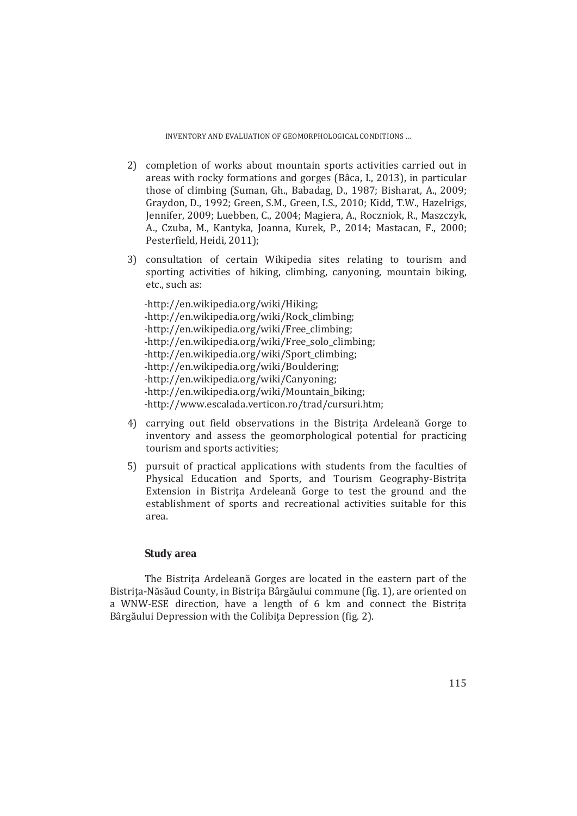- 2) completion of works about mountain sports activities carried out in areas with rocky formations and gorges (Bâca, I., 2013), in particular those of climbing (Suman, Gh., Babadag, D., 1987; Bisharat, A., 2009; Graydon, D., 1992; Green, S.M., Green, I.S., 2010; Kidd, T.W., Hazelrigs, Jennifer, 2009; Luebben, C., 2004; Magiera, A., Roczniok, R., Maszczyk, A., Czuba, M., Kantyka, Joanna, Kurek, P., 2014; Mastacan, F., 2000; Pesterfield, Heidi, 2011);
- 3) consultation of certain Wikipedia sites relating to tourism and sporting activities of hiking, climbing, canvoning, mountain biking, etc., such as:

-http://en.wikipedia.org/wiki/Hiking; -http://en.wikipedia.org/wiki/Rock\_climbing; -http://en.wikipedia.org/wiki/Free\_climbing; -http://en.wikipedia.org/wiki/Free\_solo\_climbing; -http://en.wikipedia.org/wiki/Sport\_climbing; -http://en.wikipedia.org/wiki/Bouldering; -http://en.wikipedia.org/wiki/Canyoning; -http://en.wikipedia.org/wiki/Mountain\_biking; -http://www.escalada.verticon.ro/trad/cursuri.htm;

- 4) carrying out field observations in the Bistrița Ardeleană Gorge to inventory and assess the geomorphological potential for practicing tourism and sports activities;
- 5) pursuit of practical applications with students from the faculties of Physical Education and Sports, and Tourism Geography-Bistrița Extension in Bistrița Ardeleană Gorge to test the ground and the establishment of sports and recreational activities suitable for this area.

# **Study area**

The Bistrița Ardeleană Gorges are located in the eastern part of the Bistrita-Năsăud County, in Bistrita Bârgăului commune (fig. 1), are oriented on a WNW-ESE direction, have a length of 6 km and connect the Bistrita Bârgăului Depression with the Colibița Depression (fig. 2).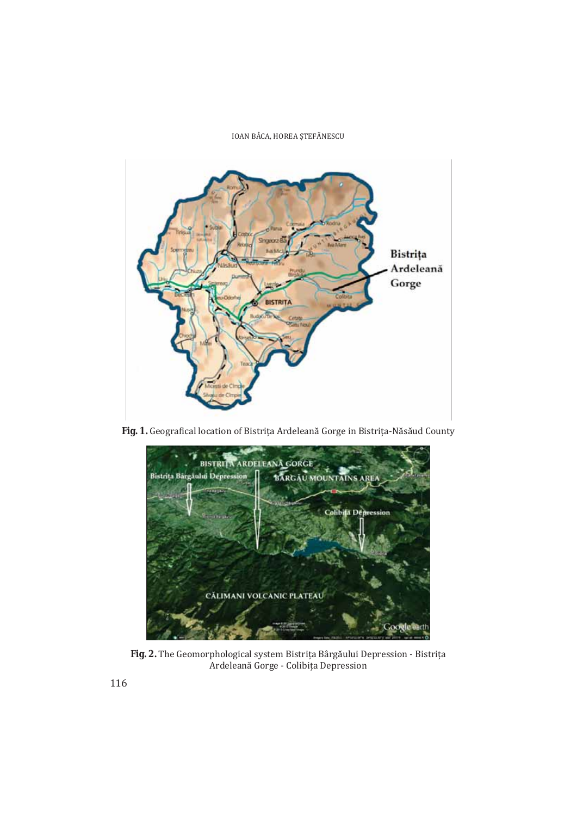IOAN BÂCA, HOREA ȘTEFĂNESCU



Fig. 1. Geografical location of Bistrița Ardeleană Gorge in Bistrița-Năsăud County



Fig. 2. The Geomorphological system Bistrița Bârgăului Depression - Bistrița Ardeleană Gorge - Colibița Depression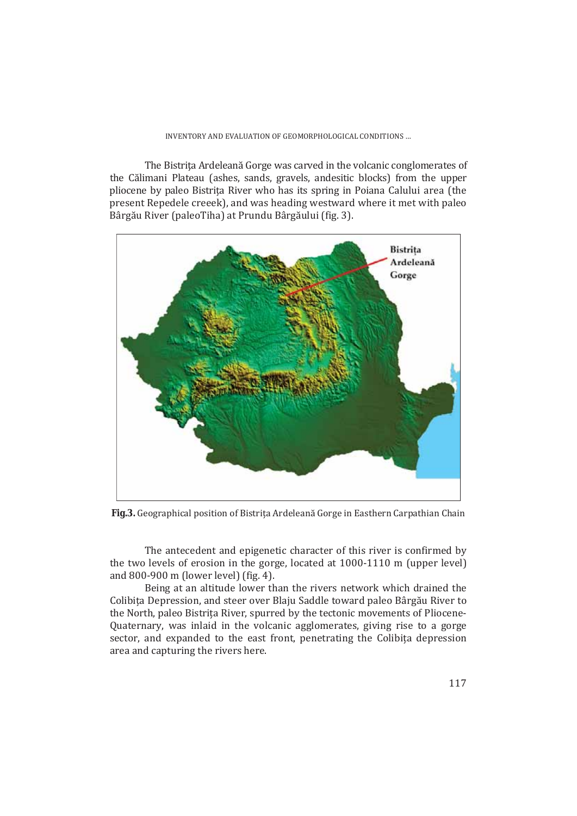The Bistrita Ardeleană Gorge was carved in the volcanic conglomerates of the Călimani Plateau (ashes, sands, gravels, andesitic blocks) from the upper pliocene by paleo Bistrita River who has its spring in Poiana Calului area (the present Repedele creeek), and was heading westward where it met with paleo Bârgău River (paleoTiha) at Prundu Bârgăului (fig. 3).



Fig.3. Geographical position of Bistrița Ardeleană Gorge in Easthern Carpathian Chain

The antecedent and epigenetic character of this river is confirmed by the two levels of erosion in the gorge, located at 1000-1110 m (upper level) and 800-900 m (lower level) (fig. 4).

Being at an altitude lower than the rivers network which drained the Colibita Depression, and steer over Blaju Saddle toward paleo Bârgău River to the North, paleo Bistrita River, spurred by the tectonic movements of Pliocene-Quaternary, was inlaid in the volcanic agglomerates, giving rise to a gorge sector, and expanded to the east front, penetrating the Colibita depression area and capturing the rivers here.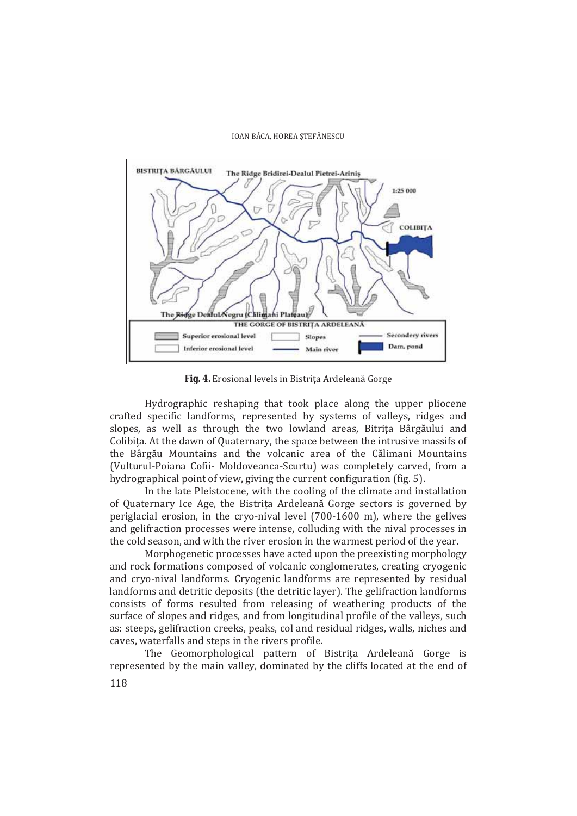

Fig. 4. Erosional levels in Bistrita Ardeleană Gorge

Hydrographic reshaping that took place along the upper pliocene crafted specific landforms, represented by systems of valleys, ridges and slopes, as well as through the two lowland areas, Bitrița Bârgăului and Colibita. At the dawn of Quaternary, the space between the intrusive massifs of the Bârgău Mountains and the volcanic area of the Călimani Mountains (Vulturul-Poiana Cofii- Moldoveanca-Scurtu) was completely carved, from a hydrographical point of view, giving the current configuration (fig. 5).

In the late Pleistocene, with the cooling of the climate and installation of Quaternary Ice Age, the Bistrița Ardeleană Gorge sectors is governed by periglacial erosion, in the cryo-nival level (700-1600 m), where the gelives and gelifraction processes were intense, colluding with the nival processes in the cold season, and with the river erosion in the warmest period of the year.

Morphogenetic processes have acted upon the preexisting morphology and rock formations composed of volcanic conglomerates, creating cryogenic and cryo-nival landforms. Cryogenic landforms are represented by residual landforms and detritic deposits (the detritic layer). The gelifraction landforms consists of forms resulted from releasing of weathering products of the surface of slopes and ridges, and from longitudinal profile of the valleys, such as: steeps, gelifraction creeks, peaks, col and residual ridges, walls, niches and caves, waterfalls and steps in the rivers profile.

The Geomorphological pattern of Bistrita Ardeleană Gorge is represented by the main valley, dominated by the cliffs located at the end of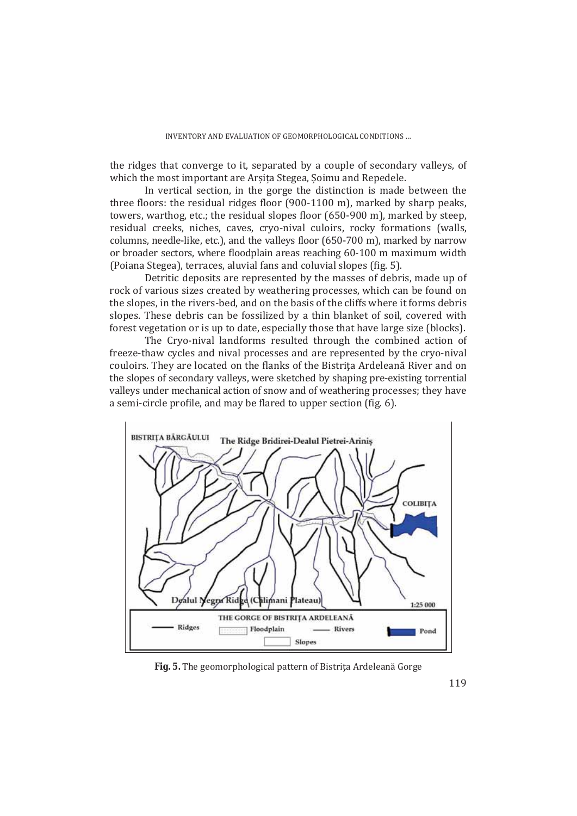the ridges that converge to it, separated by a couple of secondary valleys, of which the most important are Arșița Stegea, Șoimu and Repedele.

In vertical section, in the gorge the distinction is made between the three floors: the residual ridges floor (900-1100 m), marked by sharp peaks, towers, warthog, etc.; the residual slopes floor (650-900 m), marked by steep, residual creeks, niches, caves, cryo-nival culoirs, rocky formations (walls, columns, needle-like, etc.), and the valleys floor (650-700 m), marked by narrow or broader sectors, where floodplain areas reaching 60-100 m maximum width (Poiana Stegea), terraces, aluvial fans and coluvial slopes (fig. 5).

Detritic deposits are represented by the masses of debris, made up of rock of various sizes created by weathering processes, which can be found on the slopes, in the rivers-bed, and on the basis of the cliffs where it forms debris slopes. These debris can be fossilized by a thin blanket of soil, covered with forest vegetation or is up to date, especially those that have large size (blocks).

The Cryo-nival landforms resulted through the combined action of freeze-thaw cycles and nival processes and are represented by the cryo-nival couloirs. They are located on the flanks of the Bistrița Ardeleană River and on the slopes of secondary valleys, were sketched by shaping pre-existing torrential valleys under mechanical action of snow and of weathering processes; they have a semi-circle profile, and may be flared to upper section (fig. 6).



Fig. 5. The geomorphological pattern of Bistrița Ardeleană Gorge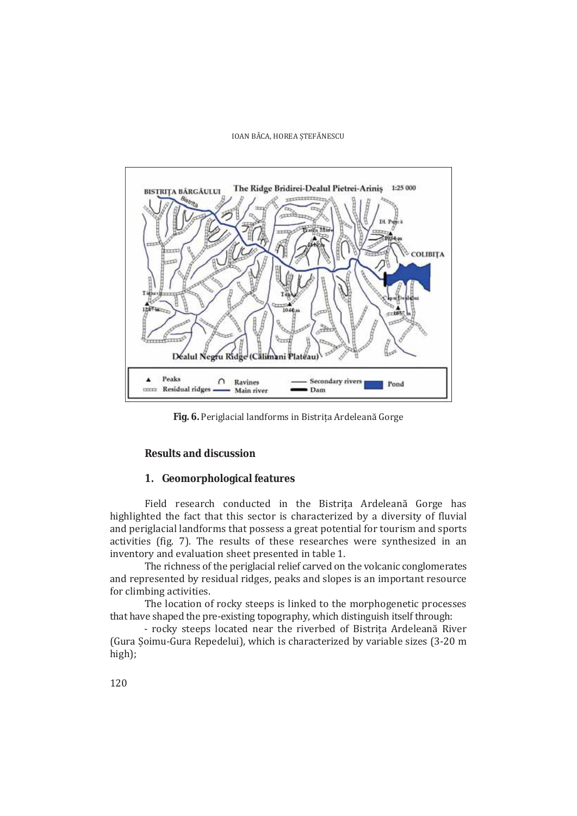

Fig. 6. Periglacial landforms in Bistrița Ardeleană Gorge

## **Results and discussion**

### 1. Geomorphological features

Field research conducted in the Bistrița Ardeleană Gorge has highlighted the fact that this sector is characterized by a diversity of fluvial and periglacial landforms that possess a great potential for tourism and sports activities (fig. 7). The results of these researches were synthesized in an inventory and evaluation sheet presented in table 1.

The richness of the periglacial relief carved on the volcanic conglomerates and represented by residual ridges, peaks and slopes is an important resource for climbing activities.

The location of rocky steeps is linked to the morphogenetic processes that have shaped the pre-existing topography, which distinguish itself through:

- rocky steeps located near the riverbed of Bistrița Ardeleană River (Gura Şoimu-Gura Repedelui), which is characterized by variable sizes (3-20 m  $high);$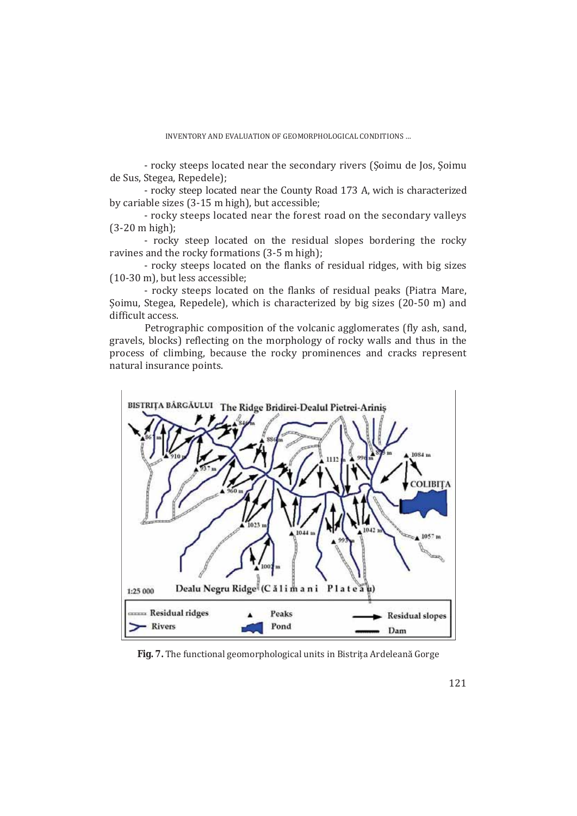- rocky steeps located near the secondary rivers (Soimu de Jos, Soimu de Sus, Stegea, Repedele);

- rocky steep located near the County Road 173 A, wich is characterized by cariable sizes (3-15 m high), but accessible;

- rocky steeps located near the forest road on the secondary valleys  $(3-20 \text{ m high})$ ;

- rocky steep located on the residual slopes bordering the rocky ravines and the rocky formations (3-5 m high);

- rocky steeps located on the flanks of residual ridges, with big sizes  $(10-30 \text{ m})$ , but less accessible;

- rocky steeps located on the flanks of residual peaks (Piatra Mare, Soimu, Stegea, Repedele), which is characterized by big sizes (20-50 m) and difficult access.

Petrographic composition of the volcanic agglomerates (fly ash, sand, gravels, blocks) reflecting on the morphology of rocky walls and thus in the process of climbing, because the rocky prominences and cracks represent natural insurance points.



Fig. 7. The functional geomorphological units in Bistrița Ardeleană Gorge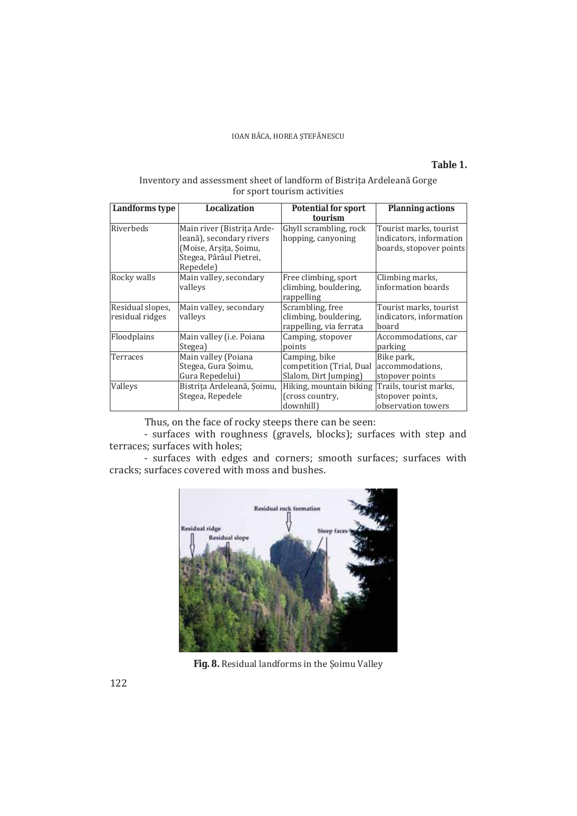# Table 1.

### Inventory and assessment sheet of landform of Bistrița Ardeleană Gorge for sport tourism activities

| Landforms type                      | Localization                                                                                                             | <b>Potential for sport</b>                                           | <b>Planning actions</b>                                                      |  |
|-------------------------------------|--------------------------------------------------------------------------------------------------------------------------|----------------------------------------------------------------------|------------------------------------------------------------------------------|--|
| Riverbeds                           | Main river (Bistrița Arde-<br>leană), secondary rivers<br>(Moise, Arșița, Șoimu,<br>Stegea, Pârâul Pietrei,<br>Repedele) | tourism<br>Ghyll scrambling, rock<br>hopping, canyoning              | Tourist marks, tourist<br>indicators, information<br>boards, stopover points |  |
| Rocky walls                         | Main valley, secondary<br>vallevs                                                                                        | Free climbing, sport<br>climbing, bouldering,<br>rappelling          | Climbing marks,<br>information boards                                        |  |
| Residual slopes,<br>residual ridges | Main valley, secondary<br>valleys                                                                                        | Scrambling, free<br>climbing, bouldering,<br>rappelling, via ferrata | Tourist marks, tourist<br>indicators, information<br>board                   |  |
| Floodplains                         | Main valley (i.e. Poiana<br>Stegea)                                                                                      | Camping, stopover<br>points                                          | Accommodations, car<br>parking                                               |  |
| Terraces                            | Main valley (Poiana<br>Stegea, Gura Soimu,<br>Gura Repedelui)                                                            | Camping, bike<br>competition (Trial, Dual<br>Slalom, Dirt Jumping)   | Bike park,<br>accommodations,<br>stopover points                             |  |
| Valleys                             | Bistrița Ardeleană, Șoimu,<br>Stegea, Repedele                                                                           | Hiking, mountain biking<br>(cross country,<br>downhill)              | Trails, tourist marks,<br>stopover points,<br>observation towers             |  |

Thus, on the face of rocky steeps there can be seen:

- surfaces with roughness (gravels, blocks); surfaces with step and terraces; surfaces with holes;

- surfaces with edges and corners; smooth surfaces; surfaces with cracks; surfaces covered with moss and bushes.



Fig. 8. Residual landforms in the Şoimu Valley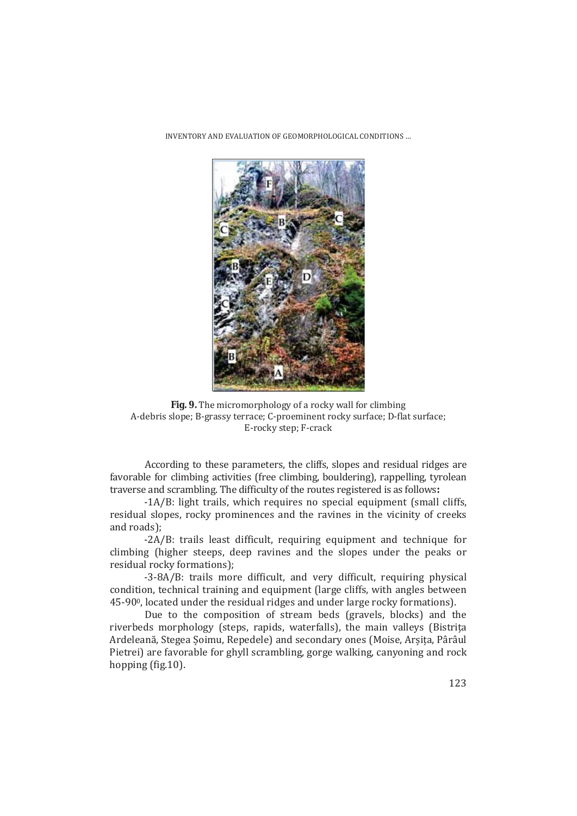

**Fig. 9.** The micromorphology of a rocky wall for climbing A-debris slope; B-grassy terrace; C-proeminent rocky surface; D-flat surface; E-rocky step; F-crack

According to these parameters, the cliffs, slopes and residual ridges are favorable for climbing activities (free climbing, bouldering), rappelling, tyrolean traverse and scrambling. The difficulty of the routes registered is as follows:

-1A/B: light trails, which requires no special equipment (small cliffs, residual slopes, rocky prominences and the ravines in the vicinity of creeks and roads):

-2A/B: trails least difficult, requiring equipment and technique for climbing (higher steeps, deep ravines and the slopes under the peaks or residual rocky formations);

-3-8A/B: trails more difficult, and very difficult, requiring physical condition, technical training and equipment (large cliffs, with angles between 45-90<sup>0</sup>, located under the residual ridges and under large rocky formations).

Due to the composition of stream beds (gravels, blocks) and the riverbeds morphology (steps, rapids, waterfalls), the main valleys (Bistrița Ardeleană, Stegea Soimu, Repedele) and secondary ones (Moise, Arsita, Pârâul Pietrei) are favorable for ghyll scrambling, gorge walking, canyoning and rock hopping (fig.10).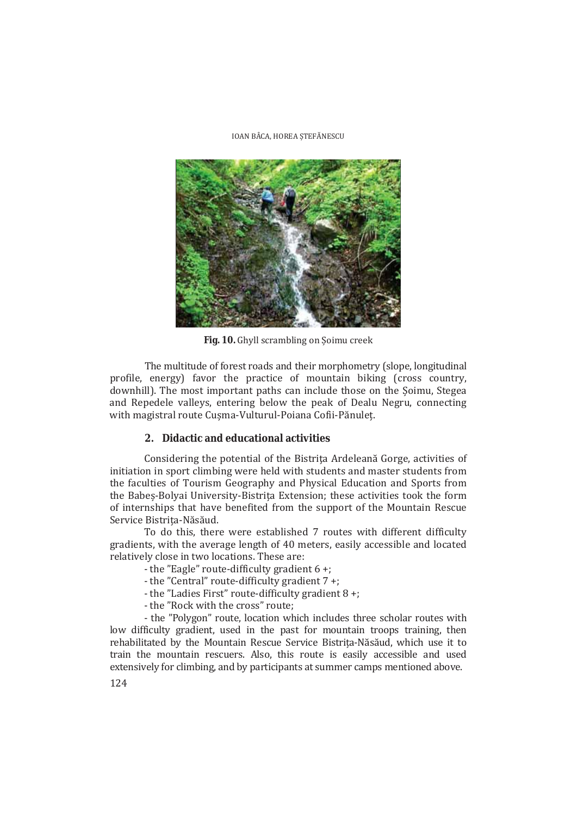

Fig. 10. Ghyll scrambling on Soimu creek

The multitude of forest roads and their morphometry (slope, longitudinal profile, energy) favor the practice of mountain biking (cross country, downhill). The most important paths can include those on the Soimu, Stegea and Repedele valleys, entering below the peak of Dealu Negru, connecting with magistral route Cușma-Vulturul-Poiana Cofii-Pănuleț.

### 2. Didactic and educational activities

Considering the potential of the Bistrița Ardeleană Gorge, activities of initiation in sport climbing were held with students and master students from the faculties of Tourism Geography and Physical Education and Sports from the Babes-Bolyai University-Bistrița Extension; these activities took the form of internships that have benefited from the support of the Mountain Rescue Service Bistrita-Năsăud.

To do this, there were established 7 routes with different difficulty gradients, with the average length of 40 meters, easily accessible and located relatively close in two locations. These are:

- the "Eagle" route-difficulty gradient 6 +;
- the "Central" route-difficulty gradient 7 +;
- the "Ladies First" route-difficulty gradient 8 +;
- the "Rock with the cross" route:

- the "Polygon" route, location which includes three scholar routes with low difficulty gradient, used in the past for mountain troops training, then rehabilitated by the Mountain Rescue Service Bistrita-Năsăud, which use it to train the mountain rescuers. Also, this route is easily accessible and used extensively for climbing, and by participants at summer camps mentioned above.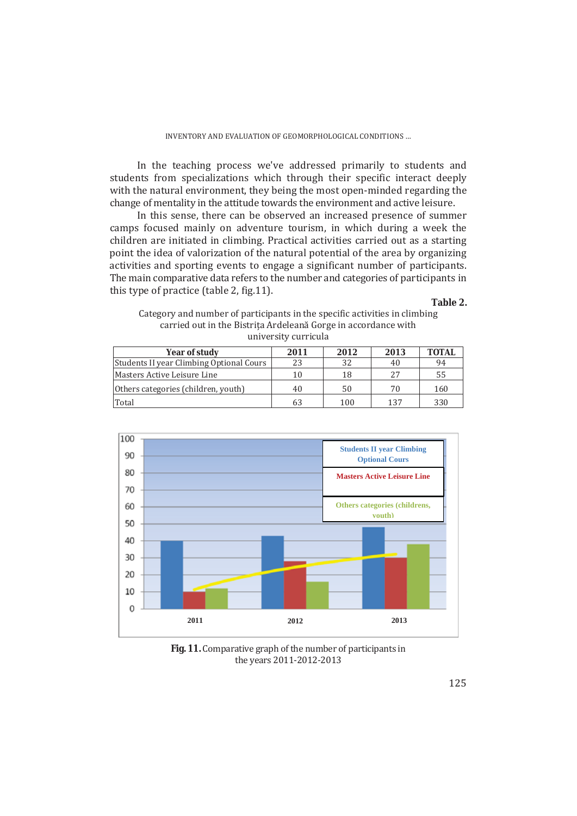In the teaching process we've addressed primarily to students and students from specializations which through their specific interact deeply with the natural environment, they being the most open-minded regarding the change of mentality in the attitude towards the environment and active leisure.

In this sense, there can be observed an increased presence of summer camps focused mainly on adventure tourism, in which during a week the children are initiated in climbing. Practical activities carried out as a starting point the idea of valorization of the natural potential of the area by organizing activities and sporting events to engage a significant number of participants. The main comparative data refers to the number and categories of participants in this type of practice (table 2, fig.11).

### **Table 2.**

| Category and number of participants in the specific activities in climbing |
|----------------------------------------------------------------------------|
| carried out in the Bistrița Ardeleană Gorge in accordance with             |
| university curricula                                                       |

| Year of study                                   | 2011 | 2012 | 2013 | <b>TOTAL</b> |
|-------------------------------------------------|------|------|------|--------------|
| <b>Students II year Climbing Optional Cours</b> |      | 32   | 40   | 94           |
| Masters Active Leisure Line                     | 10   | 18   | 27   | 55           |
| Others categories (children, youth)             | 40   | 50   | 70   | 160          |
| Total                                           |      | 100  | 137  | 330          |



**Fig. 11.** Comparative graph of the number of participants in the years 2011-2012-2013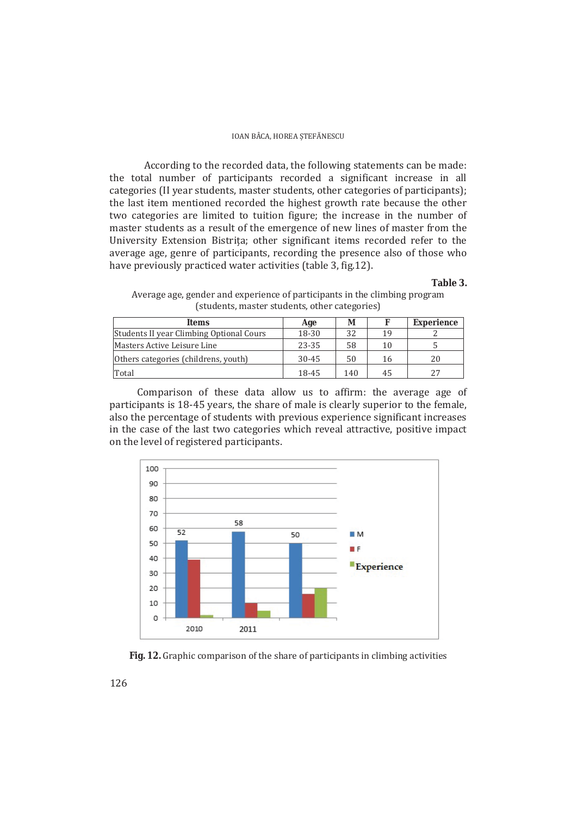According to the recorded data, the following statements can be made: the total number of participants recorded a significant increase in all categories (II year students, master students, other categories of participants); the last item mentioned recorded the highest growth rate because the other two categories are limited to tuition figure; the increase in the number of master students as a result of the emergence of new lines of master from the University Extension Bistrița; other significant items recorded refer to the average age, genre of participants, recording the presence also of those who have previously practiced water activities (table 3, fig.12).

#### **Table 3.**

Average age, gender and experience of participants in the climbing program (students, master students, other categories)

| <b>Items</b>                             | Age       | М   |    | Experience |
|------------------------------------------|-----------|-----|----|------------|
| Students II year Climbing Optional Cours | 18-30     | 32  | 19 |            |
| Masters Active Leisure Line              | 23-35     | 58  | 10 |            |
| Others categories (childrens, youth)     | $30 - 45$ | 50  | 16 | 20         |
| Total                                    | 18-45     | 140 | 45 | 27         |

Comparison of these data allow us to affirm: the average age of participants is 18-45 years, the share of male is clearly superior to the female, also the percentage of students with previous experience significant increases in the case of the last two categories which reveal attractive, positive impact on the level of registered participants.



Fig. 12. Graphic comparison of the share of participants in climbing activities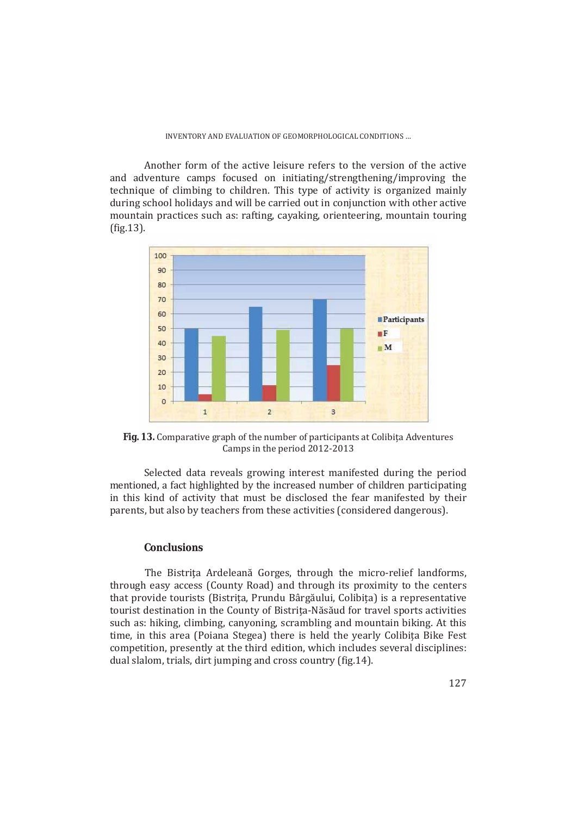Another form of the active leisure refers to the version of the active and adventure camps focused on initiating/strengthening/improving the technique of climbing to children. This type of activity is organized mainly during school holidays and will be carried out in conjunction with other active mountain practices such as: rafting, cayaking, orienteering, mountain touring  $fig.13$ ).



Fig. 13. Comparative graph of the number of participants at Colibita Adventures Camps in the period 2012-2013

Selected data reveals growing interest manifested during the period mentioned, a fact highlighted by the increased number of children participating in this kind of activity that must be disclosed the fear manifested by their parents, but also by teachers from these activities (considered dangerous).

## **Conclusions**

The Bistrita Ardeleană Gorges, through the micro-relief landforms, through easy access (County Road) and through its proximity to the centers that provide tourists (Bistrița, Prundu Bârgăului, Colibița) is a representative tourist destination in the County of Bistrita-Năsăud for travel sports activities such as: hiking, climbing, canyoning, scrambling and mountain biking. At this time, in this area (Poiana Stegea) there is held the yearly Colibita Bike Fest competition, presently at the third edition, which includes several disciplines: dual slalom, trials, dirt jumping and cross country (fig.14).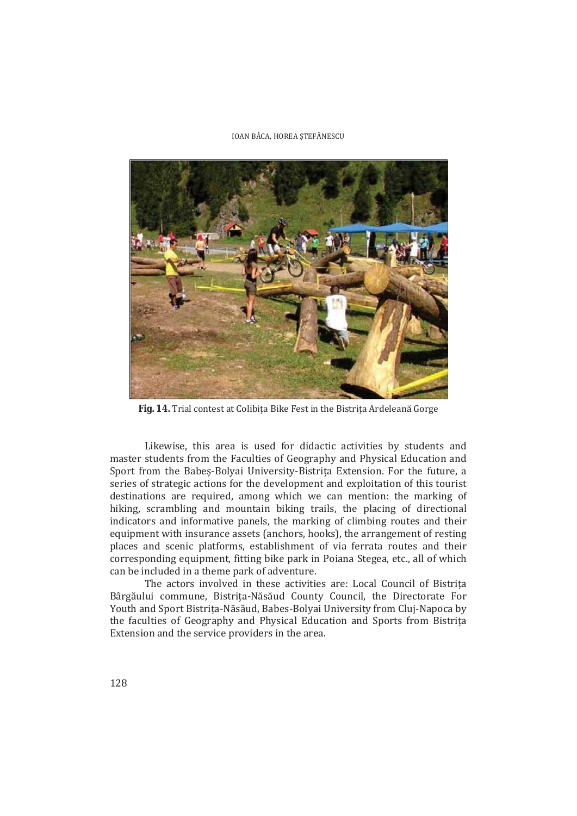

Fig. 14. Trial contest at Colibita Bike Fest in the Bistrita Ardeleană Gorge

Likewise, this area is used for didactic activities by students and master students from the Faculties of Geography and Physical Education and Sport from the Babeș-Bolyai University-Bistrița Extension. For the future, a series of strategic actions for the development and exploitation of this tourist destinations are required, among which we can mention: the marking of hiking, scrambling and mountain biking trails, the placing of directional indicators and informative panels, the marking of climbing routes and their equipment with insurance assets (anchors, hooks), the arrangement of resting places and scenic platforms, establishment of via ferrata routes and their corresponding equipment, fitting bike park in Poiana Stegea, etc., all of which can be included in a theme park of adventure.

The actors involved in these activities are: Local Council of Bistrita Bârgăului commune, Bistrița-Năsăud County Council, the Directorate For Youth and Sport Bistrita-Năsăud, Babes-Bolyai University from Cluj-Napoca by the faculties of Geography and Physical Education and Sports from Bistrita Extension and the service providers in the area.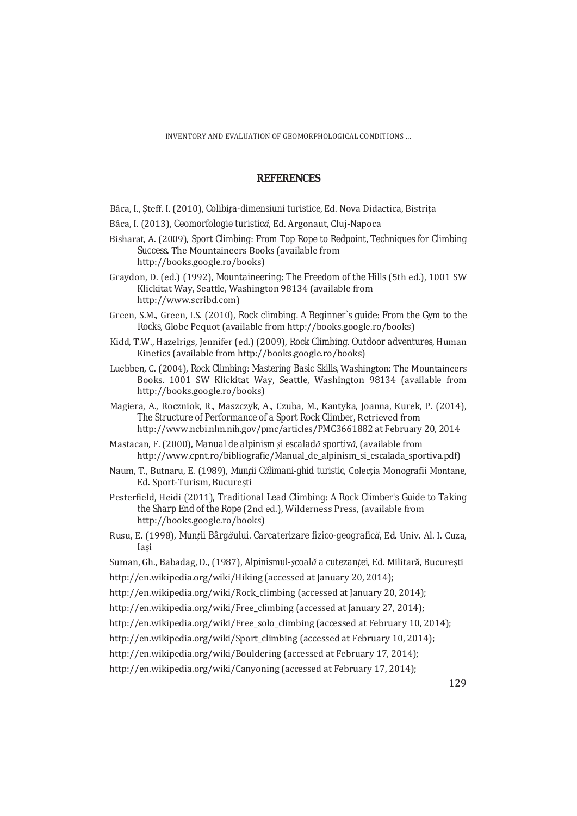### **REFERENCES**

- Bâca, I., Steff. I. (2010), *Colibita-dimensiuni turistice*, Ed. Nova Didactica, Bistrita
- Bâca, I. (2013), Geomorfologie turistică, Ed. Argonaut, Cluj-Napoca
- Bisharat, A. (2009), *Sport Climbing: From Top Rope to Redpoint, Techniques for Climbing Success*, The Mountaineers Books (available from http://books.google.ro/books)
- Graydon, D. (ed.) (1992), Mountaineering: The Freedom of the Hills (5th ed.), 1001 SW Klickitat Way, Seattle, Washington 98134 (available from http://www.scribd.com)
- Green, S.M., Green, I.S. (2010), Rock climbing. A Beginner`s guide: From the Gym to the *Rocks*, Globe Pequot (available from http://books.google.ro/books)
- Kidd, T.W., Hazelrigs, Jennifer (ed.) (2009), Rock Climbing. Outdoor adventures, Human Kinetics (available from http://books.google.ro/books)
- Luebben, C. (2004), *Rock Climbing: Mastering Basic Skills*, Washington: The Mountaineers Books. 1001 SW Klickitat Way, Seattle, Washington 98134 (available from http://books.google.ro/books)
- Magiera, A., Roczniok, R., Maszczyk, A., Czuba, M., Kantyka, Joanna, Kurek, P. (2014), *The Structure of Performance of a Sport Rock Climber*, Retrieved from http://www.ncbi.nlm.nih.gov/pmc/articles/PMC3661882 at February 20, 2014
- Mastacan, F. (2000), Manual de alpinism și escaladă sportivă, (available from http://www.cpnt.ro/bibliografie/Manual\_de\_alpinism\_si\_escalada\_sportiva.pdf)
- Naum, T., Butnaru, E. (1989), Munții Călimani-ghid turistic, Colecția Monografii Montane, Ed. Sport-Turism, București
- Pesterfield, Heidi (2011), *Traditional Lead Climbing: A Rock Climber's Guide to Taking the Sharp End of the Rope* (2nd ed.), Wilderness Press, (available from http://books.google.ro/books)
- Rusu, E. (1998), Munții Bârgăului. Carcaterizare fizico-geografică, Ed. Univ. Al. I. Cuza, Iasi
- Suman, Gh., Babadag, D., (1987), *Alpinismul-școală a cutezanței*, Ed. Militară, București
- http://en.wikipedia.org/wiki/Hiking (accessed at January 20, 2014);
- http://en.wikipedia.org/wiki/Rock climbing (accessed at January 20, 2014);
- http://en.wikipedia.org/wiki/Free\_climbing (accessed at January 27, 2014);
- http://en.wikipedia.org/wiki/Free\_solo\_climbing (accessed at February 10, 2014);
- http://en.wikipedia.org/wiki/Sport\_climbing (accessed at February 10, 2014);
- http://en.wikipedia.org/wiki/Bouldering (accessed at February 17, 2014);

http://en.wikipedia.org/wiki/Canyoning (accessed at February 17, 2014);